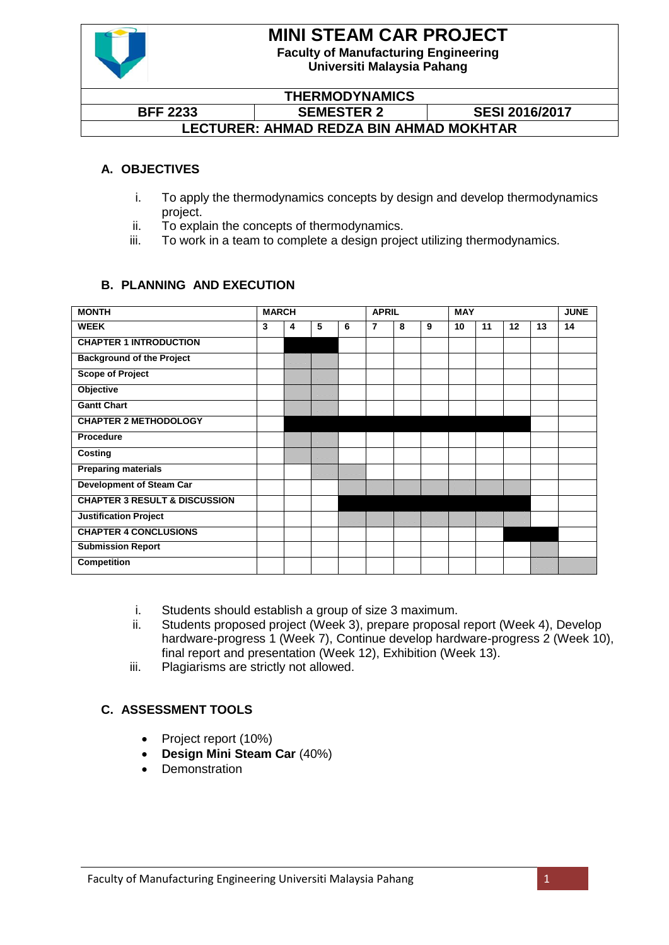

# **MINI STEAM CAR PROJECT**

**Faculty of Manufacturing Engineering Universiti Malaysia Pahang**

#### **THERMODYNAMICS BFF 2233 SEMESTER 2 SESI 2016/2017 LECTURER: AHMAD REDZA BIN AHMAD MOKHTAR**

### **A. OBJECTIVES**

- i. To apply the thermodynamics concepts by design and develop thermodynamics project.
- ii. To explain the concepts of thermodynamics.
- iii. To work in a team to complete a design project utilizing thermodynamics.

### **B. PLANNING AND EXECUTION**

| <b>MONTH</b>                             | <b>MARCH</b> |   |   |   | <b>APRIL</b> |   |   | <b>MAY</b> |    |         |    | <b>JUNE</b> |
|------------------------------------------|--------------|---|---|---|--------------|---|---|------------|----|---------|----|-------------|
| <b>WEEK</b>                              | 3            | 4 | 5 | 6 | 7            | 8 | 9 | 10         | 11 | $12 \,$ | 13 | 14          |
| <b>CHAPTER 1 INTRODUCTION</b>            |              |   |   |   |              |   |   |            |    |         |    |             |
| <b>Background of the Project</b>         |              |   |   |   |              |   |   |            |    |         |    |             |
| <b>Scope of Project</b>                  |              |   |   |   |              |   |   |            |    |         |    |             |
| Objective                                |              |   |   |   |              |   |   |            |    |         |    |             |
| <b>Gantt Chart</b>                       |              |   |   |   |              |   |   |            |    |         |    |             |
| <b>CHAPTER 2 METHODOLOGY</b>             |              |   |   |   |              |   |   |            |    |         |    |             |
| <b>Procedure</b>                         |              |   |   |   |              |   |   |            |    |         |    |             |
| Costing                                  |              |   |   |   |              |   |   |            |    |         |    |             |
| <b>Preparing materials</b>               |              |   |   |   |              |   |   |            |    |         |    |             |
| <b>Development of Steam Car</b>          |              |   |   |   |              |   |   |            |    |         |    |             |
| <b>CHAPTER 3 RESULT &amp; DISCUSSION</b> |              |   |   |   |              |   |   |            |    |         |    |             |
| <b>Justification Project</b>             |              |   |   |   |              |   |   |            |    |         |    |             |
| <b>CHAPTER 4 CONCLUSIONS</b>             |              |   |   |   |              |   |   |            |    |         |    |             |
| <b>Submission Report</b>                 |              |   |   |   |              |   |   |            |    |         |    |             |
| <b>Competition</b>                       |              |   |   |   |              |   |   |            |    |         |    |             |

- i. Students should establish a group of size 3 maximum.
- ii. Students proposed project (Week 3), prepare proposal report (Week 4), Develop hardware-progress 1 (Week 7), Continue develop hardware-progress 2 (Week 10), final report and presentation (Week 12), Exhibition (Week 13).
- iii. Plagiarisms are strictly not allowed.

### **C. ASSESSMENT TOOLS**

- Project report (10%)
- **Design Mini Steam Car** (40%)
- **Demonstration**